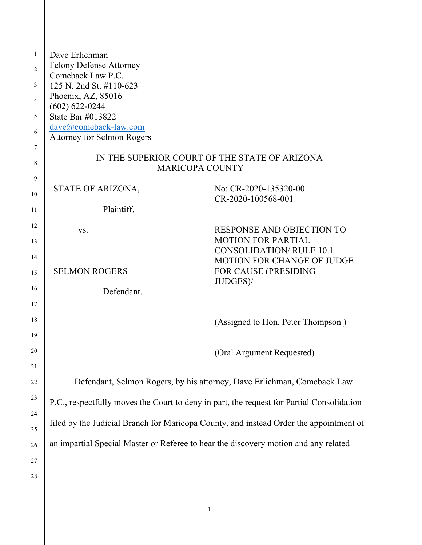| 1  | Dave Erlichman                                |                                   |  |
|----|-----------------------------------------------|-----------------------------------|--|
| 2  | <b>Felony Defense Attorney</b>                |                                   |  |
|    | Comeback Law P.C.                             |                                   |  |
| 3  | 125 N. 2nd St. #110-623                       |                                   |  |
| 4  | Phoenix, AZ, 85016                            |                                   |  |
| 5  | $(602) 622 - 0244$<br>State Bar #013822       |                                   |  |
|    | dave@comeback-law.com                         |                                   |  |
| 6  | <b>Attorney for Selmon Rogers</b>             |                                   |  |
| 7  |                                               |                                   |  |
|    | IN THE SUPERIOR COURT OF THE STATE OF ARIZONA |                                   |  |
| 8  | <b>MARICOPA COUNTY</b>                        |                                   |  |
| 9  |                                               |                                   |  |
| 10 | STATE OF ARIZONA,                             | No: CR-2020-135320-001            |  |
|    |                                               | CR-2020-100568-001                |  |
| 11 | Plaintiff.                                    |                                   |  |
| 12 |                                               | RESPONSE AND OBJECTION TO         |  |
|    | VS.                                           | <b>MOTION FOR PARTIAL</b>         |  |
| 13 |                                               | <b>CONSOLIDATION/ RULE 10.1</b>   |  |
| 14 |                                               | <b>MOTION FOR CHANGE OF JUDGE</b> |  |
| 15 | <b>SELMON ROGERS</b>                          | FOR CAUSE (PRESIDING              |  |
|    |                                               | JUDGES)/                          |  |
| 16 | Defendant.                                    |                                   |  |
| 17 |                                               |                                   |  |
|    |                                               |                                   |  |
| 18 |                                               | (Assigned to Hon. Peter Thompson) |  |
| 19 |                                               |                                   |  |
| 20 |                                               | (Oral Argument Requested)         |  |
|    |                                               |                                   |  |
| 21 |                                               |                                   |  |

Defendant, Selmon Rogers, by his attorney, Dave Erlichman, Comeback Law P.C., respectfully moves the Court to deny in part, the request for Partial Consolidation filed by the Judicial Branch for Maricopa County, and instead Order the appointment of an impartial Special Master or Referee to hear the discovery motion and any related

28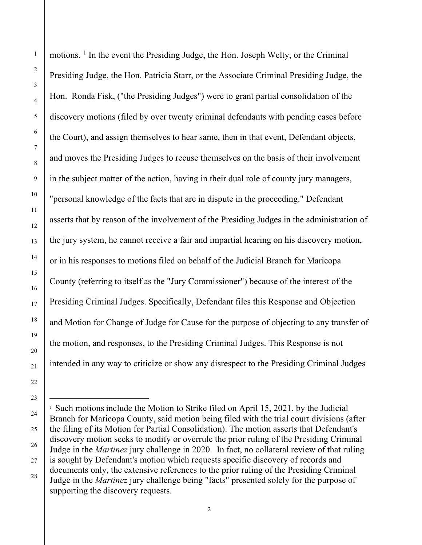motions. [1](#page-1-0) In the event the Presiding Judge, the Hon. Joseph Welty, or the Criminal Presiding Judge, the Hon. Patricia Starr, or the Associate Criminal Presiding Judge, the Hon. Ronda Fisk, ("the Presiding Judges") were to grant partial consolidation of the discovery motions (filed by over twenty criminal defendants with pending cases before the Court), and assign themselves to hear same, then in that event, Defendant objects, and moves the Presiding Judges to recuse themselves on the basis of their involvement in the subject matter of the action, having in their dual role of county jury managers, "personal knowledge of the facts that are in dispute in the proceeding." Defendant asserts that by reason of the involvement of the Presiding Judges in the administration of the jury system, he cannot receive a fair and impartial hearing on his discovery motion, or in his responses to motions filed on behalf of the Judicial Branch for Maricopa County (referring to itself as the "Jury Commissioner") because of the interest of the Presiding Criminal Judges. Specifically, Defendant files this Response and Objection and Motion for Change of Judge for Cause for the purpose of objecting to any transfer of the motion, and responses, to the Presiding Criminal Judges. This Response is not intended in any way to criticize or show any disrespect to the Presiding Criminal Judges

<span id="page-1-0"></span><sup>&</sup>lt;sup>1</sup> Such motions include the Motion to Strike filed on April 15, 2021, by the Judicial Branch for Maricopa County, said motion being filed with the trial court divisions (after the filing of its Motion for Partial Consolidation). The motion asserts that Defendant's discovery motion seeks to modify or overrule the prior ruling of the Presiding Criminal Judge in the *Martinez* jury challenge in 2020. In fact, no collateral review of that ruling is sought by Defendant's motion which requests specific discovery of records and documents only, the extensive references to the prior ruling of the Presiding Criminal Judge in the *Martinez* jury challenge being "facts" presented solely for the purpose of supporting the discovery requests.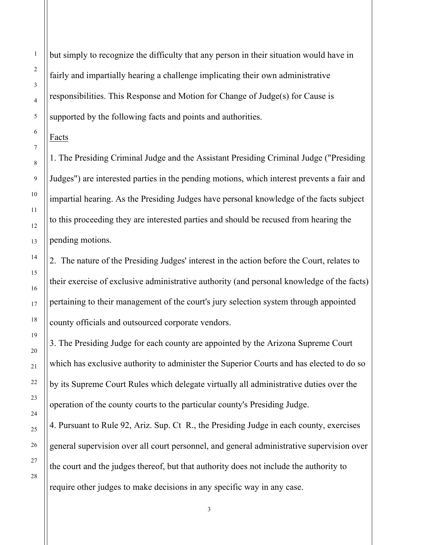but simply to recognize the difficulty that any person in their situation would have in fairly and impartially hearing a challenge implicating their own administrative responsibilities. This Response and Motion for Change of Judge(s) for Cause is supported by the following facts and points and authorities.

Facts

1. The Presiding Criminal Judge and the Assistant Presiding Criminal Judge ("Presiding Judges") are interested parties in the pending motions, which interest prevents a fair and impartial hearing. As the Presiding Judges have personal knowledge of the facts subject to this proceeding they are interested parties and should be recused from hearing the pending motions.

2. The nature of the Presiding Judges' interest in the action before the Court, relates to their exercise of exclusive administrative authority (and personal knowledge of the facts) pertaining to their management of the court's jury selection system through appointed county officials and outsourced corporate vendors.

3. The Presiding Judge for each county are appointed by the Arizona Supreme Court which has exclusive authority to administer the Superior Courts and has elected to do so by its Supreme Court Rules which delegate virtually all administrative duties over the operation of the county courts to the particular county's Presiding Judge.

4. Pursuant to Rule 92, Ariz. Sup. Ct R., the Presiding Judge in each county, exercises general supervision over all court personnel, and general administrative supervision over the court and the judges thereof, but that authority does not include the authority to require other judges to make decisions in any specific way in any case.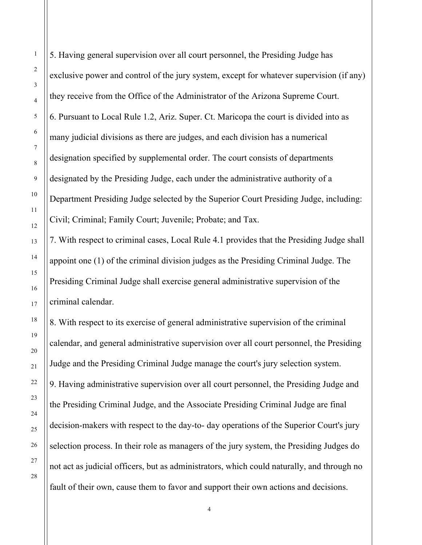5. Having general supervision over all court personnel, the Presiding Judge has exclusive power and control of the jury system, except for whatever supervision (if any) they receive from the Office of the Administrator of the Arizona Supreme Court. 6. Pursuant to Local Rule 1.2, Ariz. Super. Ct. Maricopa the court is divided into as many judicial divisions as there are judges, and each division has a numerical designation specified by supplemental order. The court consists of departments designated by the Presiding Judge, each under the administrative authority of a Department Presiding Judge selected by the Superior Court Presiding Judge, including: Civil; Criminal; Family Court; Juvenile; Probate; and Tax.

7. With respect to criminal cases, Local Rule 4.1 provides that the Presiding Judge shall appoint one (1) of the criminal division judges as the Presiding Criminal Judge. The Presiding Criminal Judge shall exercise general administrative supervision of the criminal calendar.

8. With respect to its exercise of general administrative supervision of the criminal calendar, and general administrative supervision over all court personnel, the Presiding Judge and the Presiding Criminal Judge manage the court's jury selection system. 9. Having administrative supervision over all court personnel, the Presiding Judge and the Presiding Criminal Judge, and the Associate Presiding Criminal Judge are final decision-makers with respect to the day-to- day operations of the Superior Court's jury selection process. In their role as managers of the jury system, the Presiding Judges do not act as judicial officers, but as administrators, which could naturally, and through no fault of their own, cause them to favor and support their own actions and decisions.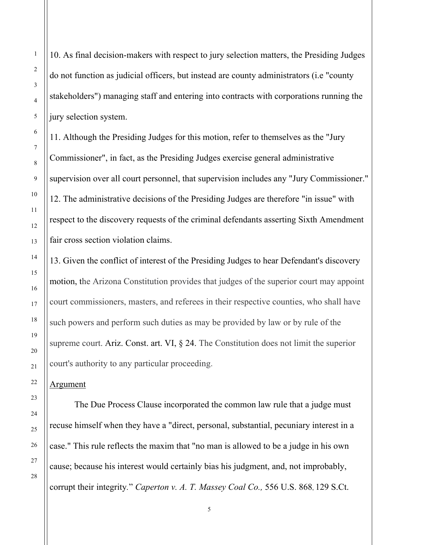10. As final decision-makers with respect to jury selection matters, the Presiding Judges do not function as judicial officers, but instead are county administrators (i.e "county stakeholders") managing staff and entering into contracts with corporations running the jury selection system.

11. Although the Presiding Judges for this motion, refer to themselves as the "Jury Commissioner", in fact, as the Presiding Judges exercise general administrative supervision over all court personnel, that supervision includes any "Jury Commissioner." 12. The administrative decisions of the Presiding Judges are therefore "in issue" with respect to the discovery requests of the criminal defendants asserting Sixth Amendment fair cross section violation claims.

13. Given the conflict of interest of the Presiding Judges to hear Defendant's discovery motion, the Arizona Constitution provides that judges of the superior court may appoint court commissioners, masters, and referees in their respective counties, who shall have such powers and perform such duties as may be provided by law or by rule of the supreme court. Ariz. [Const.](https://advance.lexis.com/document/?pdmfid=1000516&crid=e62d373f-8956-4e56-8295-6a2f76f6f215&pddocfullpath=%2Fshared%2Fdocument%2Fcases%2Furn%3AcontentItem%3A3RX3-X7F0-003F-T4FK-00000-00&pdcontentcomponentid=4306&pdshepid=urn%3AcontentItem%3A7XWR-6VT1-2NSF-C527-00000-00&pdteaserkey=sr0&pditab=allpods&ecomp=bzt4k&earg=sr0&prid=4ad2ba99-b103-4617-9f18-f227a8e761ff) art. VI,  $\S$  24. The Constitution does not limit the superior court's authority to any particular proceeding.

Argument

The Due Process Clause incorporated the common law rule that a judge must recuse himself when they have a "direct, personal, substantial, pecuniary interest in a case." This rule reflects the maxim that "no man is allowed to be a judge in his own cause; because his interest would certainly bias his judgment, and, not improbably, corrupt their integrity*.*" *Caperton v. A. T. Massey Coal Co.,* 556 U.S. 868, 129 S.Ct.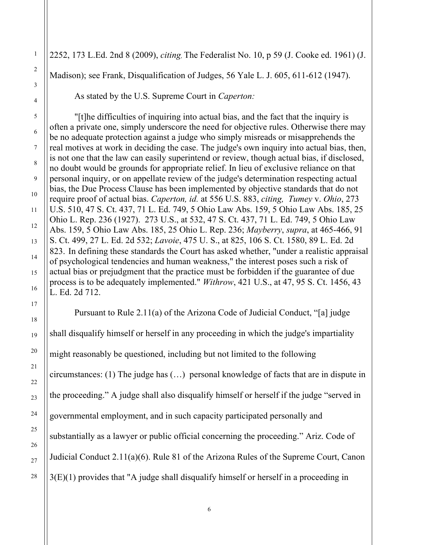2252, 173 L.Ed. 2nd 8 (2009), *citing,* The Federalist No. 10, p 59 (J. Cooke ed. 1961) (J. Madison); see Frank, Disqualification of Judges, 56 Yale L. J. 605, 611-612 (1947).

As stated by the U.S. Supreme Court in *Caperton:*

"[t]he difficulties of inquiring into actual bias, and the fact that the inquiry is often a private one, simply underscore the need for objective rules. Otherwise there may be no adequate protection against a judge who simply misreads or misapprehends the real motives at work in deciding the case. The judge's own inquiry into actual bias, then, is not one that the law can easily superintend or review, though actual bias, if disclosed, no doubt would be grounds for appropriate relief. In lieu of exclusive reliance on that personal inquiry, or on appellate review of the judge's determination respecting actual bias, the Due [Process](https://advance.lexis.com/document/?pdmfid=1000516&crid=64826a20-bdb9-452e-a58a-354b41043ac4&pddocfullpath=%2Fshared%2Fdocument%2Fcases%2Furn%3AcontentItem%3A4WGD-2GB0-TXFX-12MG-00000-00&pdcontentcomponentid=6443&pdshepid=urn%3AcontentItem%3A7XWP-6PT1-2NSD-M1F5-00000-00&pdteaserkey=sr4&pditab=allpods&ecomp=bzt4k&earg=sr4&prid=741c60e5-8776-49c2-805b-4288f0cd66ed) Clause has been implemented by objective standards that do not require proof of actual bias. *Caperton, id.* at 556 U.S. 883, *citing, [Tumey](https://advance.lexis.com/document/?pdmfid=1000516&crid=64826a20-bdb9-452e-a58a-354b41043ac4&pddocfullpath=%2Fshared%2Fdocument%2Fcases%2Furn%3AcontentItem%3A4WGD-2GB0-TXFX-12MG-00000-00&pdcontentcomponentid=6443&pdshepid=urn%3AcontentItem%3A7XWP-6PT1-2NSD-M1F5-00000-00&pdteaserkey=sr4&pditab=allpods&ecomp=bzt4k&earg=sr4&prid=741c60e5-8776-49c2-805b-4288f0cd66ed)* v. *Ohio*, 273 U.S. 510, 47 S. Ct. 437, 71 L. Ed. 749, 5 [Ohio](https://advance.lexis.com/document/?pdmfid=1000516&crid=64826a20-bdb9-452e-a58a-354b41043ac4&pddocfullpath=%2Fshared%2Fdocument%2Fcases%2Furn%3AcontentItem%3A4WGD-2GB0-TXFX-12MG-00000-00&pdcontentcomponentid=6443&pdshepid=urn%3AcontentItem%3A7XWP-6PT1-2NSD-M1F5-00000-00&pdteaserkey=sr4&pditab=allpods&ecomp=bzt4k&earg=sr4&prid=741c60e5-8776-49c2-805b-4288f0cd66ed) Law Abs. 159, 5 Ohio Law Abs. 185, 25 Ohio L. Rep. 236 [\(1927\).](https://advance.lexis.com/document/documentlink/?pdmfid=1000516&crid=132e7c99-0f12-4153-9f01-30d4f57478f4&pddocfullpath=%2Fshared%2Fdocument%2Fcases%2Furn%3AcontentItem%3A3S4X-G4G0-003B-74CX-00000-00&pdcontentcomponentid=6443&pddoctitle=Tumey+v.+Ohio%2C+273+U.S.+510%2C+47+S.+Ct.+437%2C+71+L.+Ed.+749%2C+5+Ohio+Law+Abs.+159%2C+5+Ohio+Law+Abs.+185%2C+25+Ohio+L.+Rep.+236+(1927)&pdproductcontenttypeid=urn%3Apct%3A30&pdiskwicview=false&ecomp=w5p2k&prid=64826a20-bdb9-452e-a58a-354b41043ac4) 273 U.S., at 532, 47 S. Ct. 437, 71 L. Ed. 749, 5 Ohio Law Abs. 159, 5 Ohio Law Abs. 185, 25 [Ohio](https://advance.lexis.com/document/?pdmfid=1000516&crid=64826a20-bdb9-452e-a58a-354b41043ac4&pddocfullpath=%2Fshared%2Fdocument%2Fcases%2Furn%3AcontentItem%3A4WGD-2GB0-TXFX-12MG-00000-00&pdcontentcomponentid=6443&pdshepid=urn%3AcontentItem%3A7XWP-6PT1-2NSD-M1F5-00000-00&pdteaserkey=sr4&pditab=allpods&ecomp=bzt4k&earg=sr4&prid=741c60e5-8776-49c2-805b-4288f0cd66ed) L. Rep. 236; *[Mayberry](https://advance.lexis.com/document/?pdmfid=1000516&crid=64826a20-bdb9-452e-a58a-354b41043ac4&pddocfullpath=%2Fshared%2Fdocument%2Fcases%2Furn%3AcontentItem%3A4WGD-2GB0-TXFX-12MG-00000-00&pdcontentcomponentid=6443&pdshepid=urn%3AcontentItem%3A7XWP-6PT1-2NSD-M1F5-00000-00&pdteaserkey=sr4&pditab=allpods&ecomp=bzt4k&earg=sr4&prid=741c60e5-8776-49c2-805b-4288f0cd66ed)*, *supra*, at 465-466, 91 S. Ct. [499,](https://advance.lexis.com/document/?pdmfid=1000516&crid=64826a20-bdb9-452e-a58a-354b41043ac4&pddocfullpath=%2Fshared%2Fdocument%2Fcases%2Furn%3AcontentItem%3A4WGD-2GB0-TXFX-12MG-00000-00&pdcontentcomponentid=6443&pdshepid=urn%3AcontentItem%3A7XWP-6PT1-2NSD-M1F5-00000-00&pdteaserkey=sr4&pditab=allpods&ecomp=bzt4k&earg=sr4&prid=741c60e5-8776-49c2-805b-4288f0cd66ed) 27 L. Ed. 2d 532; *[Lavoie](https://advance.lexis.com/document/?pdmfid=1000516&crid=64826a20-bdb9-452e-a58a-354b41043ac4&pddocfullpath=%2Fshared%2Fdocument%2Fcases%2Furn%3AcontentItem%3A4WGD-2GB0-TXFX-12MG-00000-00&pdcontentcomponentid=6443&pdshepid=urn%3AcontentItem%3A7XWP-6PT1-2NSD-M1F5-00000-00&pdteaserkey=sr4&pditab=allpods&ecomp=bzt4k&earg=sr4&prid=741c60e5-8776-49c2-805b-4288f0cd66ed)*, 475 U. S., at 825, 106 S. Ct. 1580, 89 L. Ed. 2d [823.](https://advance.lexis.com/document/?pdmfid=1000516&crid=64826a20-bdb9-452e-a58a-354b41043ac4&pddocfullpath=%2Fshared%2Fdocument%2Fcases%2Furn%3AcontentItem%3A4WGD-2GB0-TXFX-12MG-00000-00&pdcontentcomponentid=6443&pdshepid=urn%3AcontentItem%3A7XWP-6PT1-2NSD-M1F5-00000-00&pdteaserkey=sr4&pditab=allpods&ecomp=bzt4k&earg=sr4&prid=741c60e5-8776-49c2-805b-4288f0cd66ed) In defining these standards the Court has asked whether, "under a realistic appraisal of psychological tendencies and human weakness," the interest poses such a risk of actual bias or prejudgment that the practice must be forbidden if the guarantee of due process is to be adequately implemented." *[Withrow](https://advance.lexis.com/document/?pdmfid=1000516&crid=64826a20-bdb9-452e-a58a-354b41043ac4&pddocfullpath=%2Fshared%2Fdocument%2Fcases%2Furn%3AcontentItem%3A4WGD-2GB0-TXFX-12MG-00000-00&pdcontentcomponentid=6443&pdshepid=urn%3AcontentItem%3A7XWP-6PT1-2NSD-M1F5-00000-00&pdteaserkey=sr4&pditab=allpods&ecomp=bzt4k&earg=sr4&prid=741c60e5-8776-49c2-805b-4288f0cd66ed)*, 421 U.S., at 47, 95 S. Ct. 1456, 43 L. Ed. 2d [712.](https://advance.lexis.com/document/?pdmfid=1000516&crid=64826a20-bdb9-452e-a58a-354b41043ac4&pddocfullpath=%2Fshared%2Fdocument%2Fcases%2Furn%3AcontentItem%3A4WGD-2GB0-TXFX-12MG-00000-00&pdcontentcomponentid=6443&pdshepid=urn%3AcontentItem%3A7XWP-6PT1-2NSD-M1F5-00000-00&pdteaserkey=sr4&pditab=allpods&ecomp=bzt4k&earg=sr4&prid=741c60e5-8776-49c2-805b-4288f0cd66ed)

Pursuant to Rule 2.11(a) of the Arizona Code of Judicial Conduct, "[a] judge shall disqualify himself or herself in any proceeding in which the judge's impartiality might reasonably be questioned, including but not limited to the following circumstances: (1) The judge has (…) personal knowledge of facts that are in dispute in the proceeding." A judge shall also disqualify himself or herself if the judge "served in governmental employment, and in such capacity participated personally and substantially as a lawyer or public official concerning the proceeding." Ariz. Code of Judicial Conduct 2.11(a)(6). Rule 81 of the Arizona Rules of the [Supreme](https://advance.lexis.com/document/midlinetitle/?pdmfid=1000516&crid=cbe16b6c-0ad1-4f25-a9ba-50097ff8a77a&pddocfullpath=%2Fshared%2Fdocument%2Fcases%2Furn%3AcontentItem%3A5JTJ-51H1-F04C-S0BH-00000-00&pdcomponentid=6419&ecomp=nzhdk&earg=sr1&prid=caa84f99-4bfa-4530-a544-0a6b666202ed) Court, [Canon](https://advance.lexis.com/document/midlinetitle/?pdmfid=1000516&crid=cbe16b6c-0ad1-4f25-a9ba-50097ff8a77a&pddocfullpath=%2Fshared%2Fdocument%2Fcases%2Furn%3AcontentItem%3A5JTJ-51H1-F04C-S0BH-00000-00&pdcomponentid=6419&ecomp=nzhdk&earg=sr1&prid=caa84f99-4bfa-4530-a544-0a6b666202ed)  $3(E)(1)$  provides that "A judge shall disqualify himself or herself in a proceeding in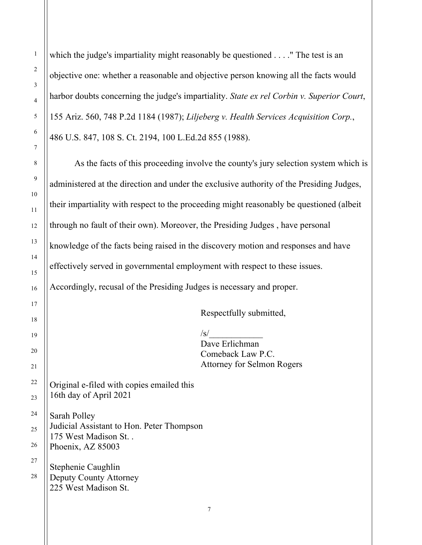which the judge's impartiality might reasonably be questioned . . . . " The test is an objective one: whether a reasonable and objective person knowing all the facts would harbor doubts concerning the judge's impartiality. *State ex rel Corbin v. [Superior](https://advance.lexis.com/document/midlinetitle/?pdmfid=1000516&crid=cbe16b6c-0ad1-4f25-a9ba-50097ff8a77a&pddocfullpath=%2Fshared%2Fdocument%2Fcases%2Furn%3AcontentItem%3A5JTJ-51H1-F04C-S0BH-00000-00&pdcomponentid=6419&ecomp=nzhdk&earg=sr1&prid=caa84f99-4bfa-4530-a544-0a6b666202ed) Court*, 155 Ariz. 560, 748 P.2d 1184 [\(1987\);](https://advance.lexis.com/document/midlinetitle/?pdmfid=1000516&crid=cbe16b6c-0ad1-4f25-a9ba-50097ff8a77a&pddocfullpath=%2Fshared%2Fdocument%2Fcases%2Furn%3AcontentItem%3A5JTJ-51H1-F04C-S0BH-00000-00&pdcomponentid=6419&ecomp=nzhdk&earg=sr1&prid=caa84f99-4bfa-4530-a544-0a6b666202ed) *Liljeberg v. Health Services [Acquisition](https://advance.lexis.com/document/midlinetitle/?pdmfid=1000516&crid=cbe16b6c-0ad1-4f25-a9ba-50097ff8a77a&pddocfullpath=%2Fshared%2Fdocument%2Fcases%2Furn%3AcontentItem%3A5JTJ-51H1-F04C-S0BH-00000-00&pdcomponentid=6419&ecomp=nzhdk&earg=sr1&prid=caa84f99-4bfa-4530-a544-0a6b666202ed) Corp.*, 486 U.S. 847, 108 S. Ct. 2194, 100 [L.Ed.2d](https://advance.lexis.com/document/midlinetitle/?pdmfid=1000516&crid=cbe16b6c-0ad1-4f25-a9ba-50097ff8a77a&pddocfullpath=%2Fshared%2Fdocument%2Fcases%2Furn%3AcontentItem%3A5JTJ-51H1-F04C-S0BH-00000-00&pdcomponentid=6419&ecomp=nzhdk&earg=sr1&prid=caa84f99-4bfa-4530-a544-0a6b666202ed) 855 (1988).

As the facts of this proceeding involve the county's jury selection system which is administered at the direction and under the exclusive authority of the Presiding Judges, their impartiality with respect to the proceeding might reasonably be questioned (albeit through no fault of their own). Moreover, the Presiding Judges , have personal knowledge of the facts being raised in the discovery motion and responses and have effectively served in governmental employment with respect to these issues. Accordingly, recusal of the Presiding Judges is necessary and proper.

Respectfully submitted,

 $\sqrt{s/}$ Dave Erlichman Comeback Law P.C. Attorney for Selmon Rogers

Original e-filed with copies emailed this 16th day of April 2021

Sarah Polley Judicial Assistant to Hon. Peter Thompson 175 West Madison St. . Phoenix, AZ 85003

Stephenie Caughlin Deputy County Attorney 225 West Madison St.